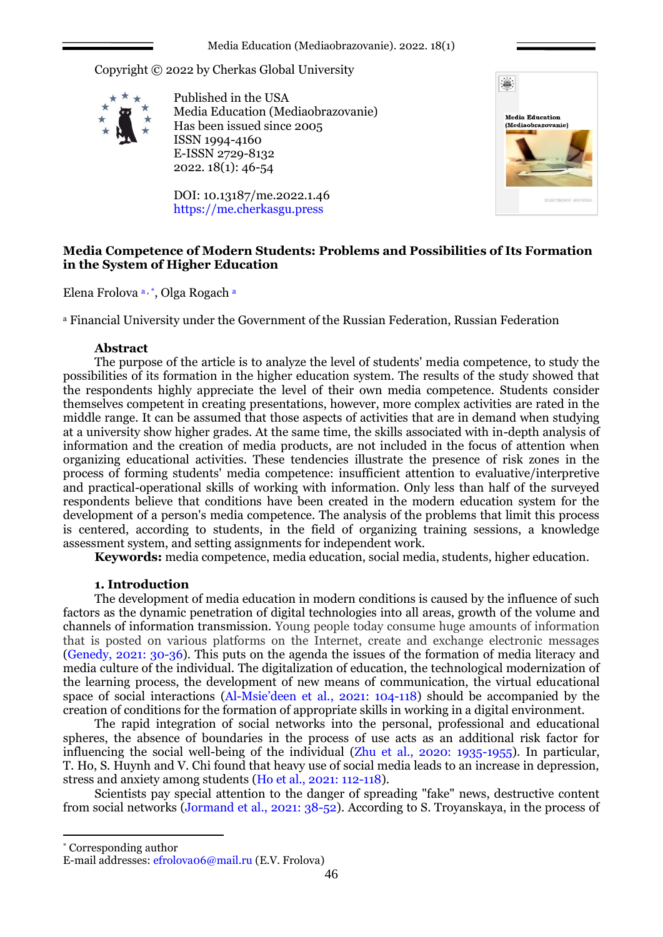Media Education (Mediaobrazovanie). 2022. 18(1)

Copyright © 2022 by Cherkas Global University



Published in the USA Media Education (Mediaobrazovanie) Has been issued since 2005 ISSN 1994-4160 E-ISSN 2729-8132 2022. 18(1): 46-54

DOI: 10.13187/me.2022.1.46 https://me.cherkasgu.press



# **Media Competence of Modern Students: Problems and Possibilities of Its Formation in the System of Higher Education**

Elena Frolova a, \*, Olga Rogach a

<sup>а</sup> Financial University under the Government of the Russian Federation, Russian Federation

## **Abstract**

The purpose of the article is to analyze the level of students' media competence, to study the possibilities of its formation in the higher education system. The results of the study showed that the respondents highly appreciate the level of their own media competence. Students consider themselves competent in creating presentations, however, more complex activities are rated in the middle range. It can be assumed that those aspects of activities that are in demand when studying at a university show higher grades. At the same time, the skills associated with in-depth analysis of information and the creation of media products, are not included in the focus of attention when organizing educational activities. These tendencies illustrate the presence of risk zones in the process of forming students' media competence: insufficient attention to evaluative/interpretive and practical-operational skills of working with information. Only less than half of the surveyed respondents believe that conditions have been created in the modern education system for the development of a person's media competence. The analysis of the problems that limit this process is centered, according to students, in the field of organizing training sessions, a knowledge assessment system, and setting assignments for independent work.

**Keywords:** media competence, media education, social media, students, higher education.

# **1. Introduction**

<span id="page-0-1"></span>The development of media education in modern conditions is caused by the influence of such factors as the dynamic penetration of digital technologies into all areas, growth of the volume and channels of information transmission. Young people today consume huge amounts of information that is posted on various platforms on the Internet, create and exchange electronic messages [\(Genedy, 2021: 30-36\).](#page-6-0) This puts on the agenda the issues of the formation of media literacy and media culture of the individual. The digitalization of education, the technological modernization of the learning process, the development of new means of communication, the virtual educational space of social interactions (Al-Msie'deen [et al., 2021:](#page-6-1) 104-118) should be accompanied by the creation of conditions for the formation of appropriate skills in working in a digital environment.

<span id="page-0-4"></span><span id="page-0-0"></span>The rapid integration of social networks into the personal, professional and educational spheres, the absence of boundaries in the process of use acts as an additional risk factor for influencing the social well-being of the individual (Zhu et al., 2020: 1935-1955). In particular, T. Ho, S. Huynh and V. Chi found that heavy use of social media leads to an increase in depression, stress and anxiety among students (Ho et al., [2021: 112-118\).](#page-6-2)

<span id="page-0-3"></span><span id="page-0-2"></span>Scientists pay special attention to the danger of spreading "fake" news, destructive content from social networks [\(Jormand et al., 2021: 38-52\)](#page-7-0). According to S. Troyanskaya, in the process of

1

<sup>\*</sup> Corresponding author

E-mail addresses: efrolova06@mail.ru (E.V. Frolova)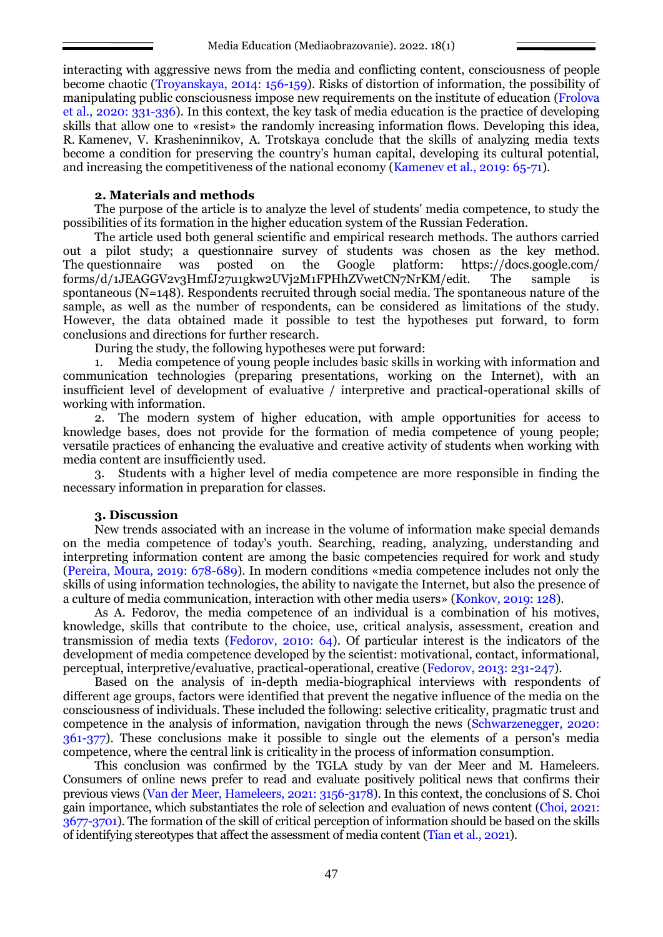<span id="page-1-9"></span>interacting with aggressive news from the media and conflicting content, consciousness of people become chaotic [\(Troyanskaya, 2014: 156-159\)](#page-7-1). Risks of distortion of information, the possibility of manipulating public consciousness impose new requirements on the institute of education [\(Frolova](#page-6-3)  [et al., 2020: 331-336\).](#page-6-3) In this context, the key task of media education is the practice of developing skills that allow one to «resist» the randomly increasing information flows. Developing this idea, R. Kamenev, V. Krasheninnikov, A. Trotskaya conclude that the skills of analyzing media texts become a condition for preserving the country's human capital, developing its cultural potential, and increasing the competitiveness of the national economy [\(Kamenev et al., 2019: 65-71\).](#page-7-0)

### <span id="page-1-4"></span><span id="page-1-3"></span>**2. Materials and methods**

The purpose of the article is to analyze the level of students' media competence, to study the possibilities of its formation in the higher education system of the Russian Federation.

The article used both general scientific and empirical research methods. The authors carried out a pilot study; a questionnaire survey of students was chosen as the key method. The questionnaire was posted on the Google platform: https://docs.google.com/ forms/d/1JEAGGV2v3HmfJ27u1gkw2UVj2M1FPHhZVwetCN7NrKM/edit. The sample is spontaneous (N=148). Respondents recruited through social media. The spontaneous nature of the sample, as well as the number of respondents, can be considered as limitations of the study. However, the data obtained made it possible to test the hypotheses put forward, to form conclusions and directions for further research.

During the study, the following hypotheses were put forward:

1. Media competence of young people includes basic skills in working with information and communication technologies (preparing presentations, working on the Internet), with an insufficient level of development of evaluative / interpretive and practical-operational skills of working with information.

2. The modern system of higher education, with ample opportunities for access to knowledge bases, does not provide for the formation of media competence of young people; versatile practices of enhancing the evaluative and creative activity of students when working with media content are insufficiently used.

3. Students with a higher level of media competence are more responsible in finding the necessary information in preparation for classes.

### <span id="page-1-5"></span>**3. Discussion**

<span id="page-1-6"></span>New trends associated with an increase in the volume of information make special demands on the media competence of today's youth. Searching, reading, analyzing, understanding and interpreting information content are among the basic competencies required for work and study [\(Pereira, Moura, 2019:](#page-6-4) 678-689). In modern conditions «media competence includes not only the skills of using information technologies, the ability to navigate the Internet, but also the presence of a culture of media communication, interaction with other media users» (Konkov, 2019: 128).

<span id="page-1-1"></span>As A. Fedorov, the media competence of an individual is a combination of his motives, knowledge, skills that contribute to the choice, use, critical analysis, assessment, creation and transmission of media texts [\(Fedorov, 2010: 64\).](#page-6-5) Of particular interest is the indicators of the development of media competence developed by the scientist: motivational, contact, informational, perceptual, interpretive/evaluative, practical-operational, creative [\(Fedorov, 2013: 231-247\).](#page-6-6)

<span id="page-1-7"></span><span id="page-1-2"></span>Based on the analysis of in-depth media-biographical interviews with respondents of different age groups, factors were identified that prevent the negative influence of the media on the consciousness of individuals. These included the following: selective criticality, pragmatic trust and competence in the analysis of information, navigation through the news [\(Schwarzenegger, 2020:](#page-7-2)  [361-377\).](#page-7-2) These conclusions make it possible to single out the elements of a person's media competence, where the central link is criticality in the process of information consumption.

<span id="page-1-10"></span><span id="page-1-8"></span><span id="page-1-0"></span>This conclusion was confirmed by the TGLA study by van der Meer and M. Hameleers. Consumers of online news prefer to read and evaluate positively political news that confirms their previous views [\(Van der Meer, Hameleers, 2021: 3156-3178\)](#page-7-3). In this context, the conclusions of S. Choi gain importance, which substantiates the role of selection and evaluation of news content [\(Choi, 2021:](#page-6-7)  [3677-3701\).](#page-6-7) The formation of the skill of critical perception of information should be based on the skills of identifying stereotypes that affect the assessment of media content [\(Tian et al., 2021\).](#page-7-4)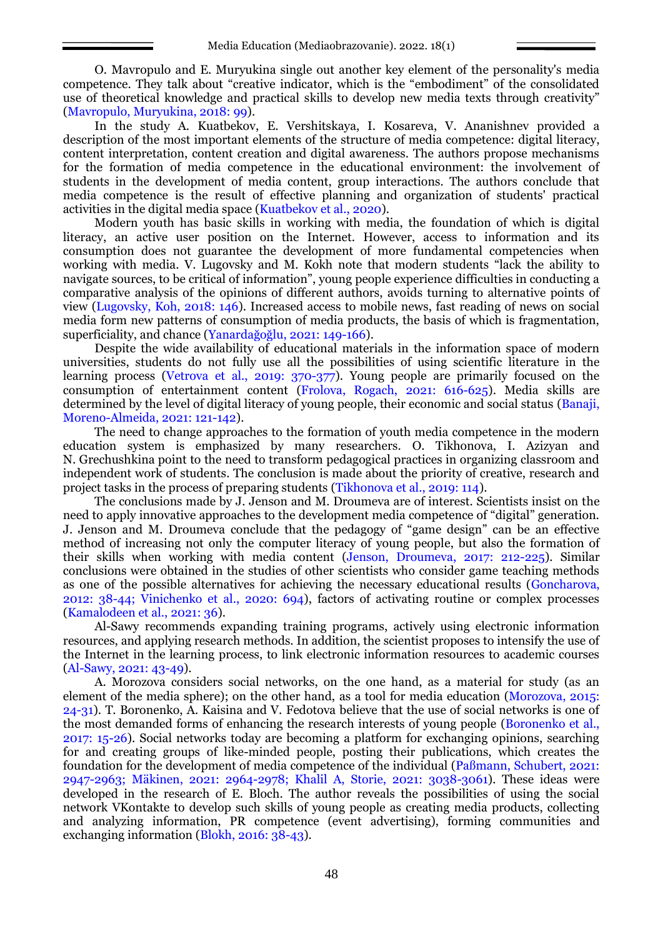O. Mavropulo and E. Muryukina single out another key element of the personality's media competence. They talk about "creative indicator, which is the "embodiment" of the consolidated use of theoretical knowledge and practical skills to develop new media texts through creativity" [\(Mavropulo, Muryukina, 2018: 99\).](#page-6-2)

<span id="page-2-12"></span>In the study A. Kuatbekov, E. Vershitskaya, I. Kosareva, V. Ananishnev provided a description of the most important elements of the structure of media competence: digital literacy, content interpretation, content creation and digital awareness. The authors propose mechanisms for the formation of media competence in the educational environment: the involvement of students in the development of media content, group interactions. The authors conclude that media competence is the result of effective planning and organization of students' practical activities in the digital media space [\(Kuatbekov et al., 2020\).](#page-7-5)

<span id="page-2-9"></span>Modern youth has basic skills in working with media, the foundation of which is digital literacy, an active user position on the Internet. However, access to information and its consumption does not guarantee the development of more fundamental competencies when working with media. V. Lugovsky and M. Kokh note that modern students "lack the ability to navigate sources, to be critical of information", young people experience difficulties in conducting a comparative analysis of the opinions of different authors, avoids turning to alternative points of view [\(Lugovsky, Koh, 2018: 146\)](#page-7-6). Increased access to mobile news, fast reading of news on social media form new patterns of consumption of media products, the basis of which is fragmentation, superficiality, and chance ([Yanardağoğlu, 2021:](#page-8-0) 149-166).

<span id="page-2-18"></span><span id="page-2-16"></span><span id="page-2-10"></span><span id="page-2-4"></span>Despite the wide availability of educational materials in the information space of modern universities, students do not fully use all the possibilities of using scientific literature in the learning process (Vetrova [et al., 2019: 370-377\).](#page-7-7) Young people are primarily focused on the consumption of entertainment content [\(Frolova, Rogach, 2021: 616-625\).](#page-6-8) Media skills are determined by the level of digital literacy of young people, their economic and social status [\(Banaji,](#page-6-9)  [Moreno-Almeida, 2021: 121-142\).](#page-6-9)

<span id="page-2-1"></span>The need to change approaches to the formation of youth media competence in the modern education system is emphasized by many researchers. O. Tikhonova, I. Azizyan and N. Grechushkina point to the need to transform pedagogical practices in organizing classroom and independent work of students. The conclusion is made about the priority of creative, research and project tasks in the process of preparing students [\(Tikhonova et al., 2019: 114\).](#page-7-8)

<span id="page-2-15"></span><span id="page-2-6"></span>The conclusions made by J. Jenson and M. Droumeva are of interest. Scientists insist on the need to apply innovative approaches to the development media competence of "digital" generation. J. Jenson and M. Droumeva conclude that the pedagogy of "game design" can be an effective method of increasing not only the computer literacy of young people, but also the formation of their skills when working with media content (Jenson, Droumeva, 2017: 212-225). Similar conclusions were obtained in the studies of other scientists who consider game teaching methods as one of the possible alternatives for achieving the necessary educational results (Goncharova, 2012: 38-4[4; Vinichenko et al., 2020: 694\)](#page-7-9), factors of activating routine or complex processes [\(Kamalodeen et al., 2021: 36\).](#page-6-4)

<span id="page-2-17"></span><span id="page-2-7"></span><span id="page-2-5"></span>Al-Sawy recommends expanding training programs, actively using electronic information resources, and applying research methods. In addition, the scientist proposes to intensify the use of the Internet in the learning process, to link electronic information resources to academic courses [\(Al-Sawy, 2021: 43-49\)](#page-6-1).

<span id="page-2-14"></span><span id="page-2-13"></span><span id="page-2-11"></span><span id="page-2-8"></span><span id="page-2-3"></span><span id="page-2-2"></span><span id="page-2-0"></span>A. Morozova considers social networks, on the one hand, as a material for study (as an element of the media sphere); on the other hand, as a tool for media education [\(Morozova, 2015:](#page-7-10)  [24-31\).](#page-7-10) T. Boronenko, A. Kaisina and V. Fedotova believe that the use of social networks is one of the most demanded forms of enhancing the research interests of young people [\(Boronenko et al.,](#page-6-10)  [2017: 15-26\).](#page-6-10) Social networks today are becoming a platform for exchanging opinions, searching for and creating groups of like-minded people, posting their publications, which creates the foundation for the development of media competence of the individual ([Paßmann, Schubert, 2021:](#page-7-11)  [2947-2963](#page-7-11)[; Mäkinen, 2021:](#page-7-12) 2964-2978; [Khalil A, Storie, 2021: 3038-3061\).](#page-7-0) These ideas were developed in the research of E. Bloch. The author reveals the possibilities of using the social network VKontakte to develop such skills of young people as creating media products, collecting and analyzing information, PR competence (event advertising), forming communities and exchanging information (Blokh, 2016: 38-43).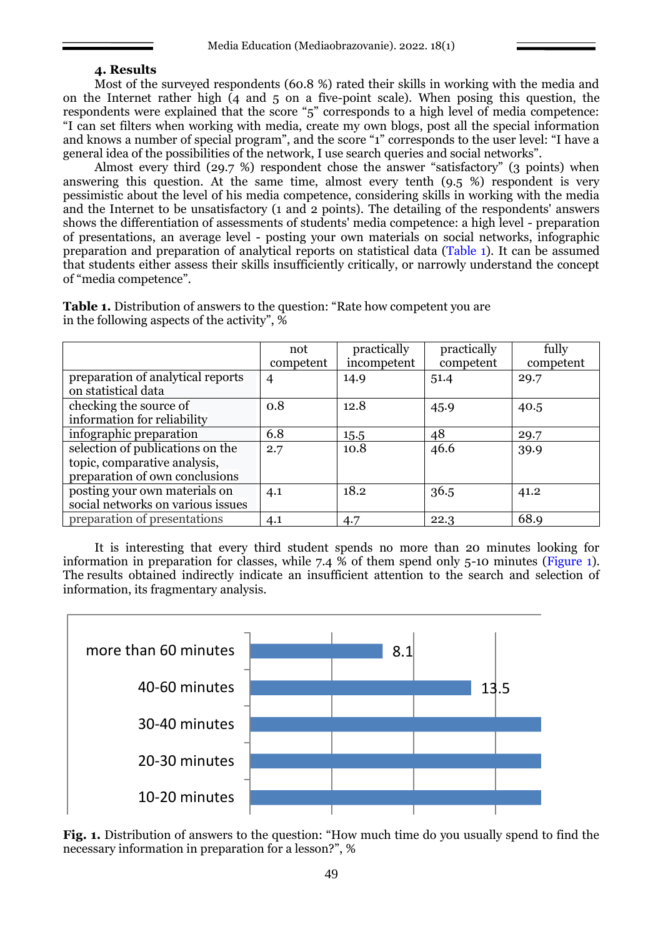#### **4. Results**

Most of the surveyed respondents (60.8 %) rated their skills in working with the media and on the Internet rather high (4 and 5 on a five-point scale). When posing this question, the respondents were explained that the score "5" corresponds to a high level of media competence: "I can set filters when working with media, create my own blogs, post all the special information and knows a number of special program", and the score "1" corresponds to the user level: "I have a general idea of the possibilities of the network, I use search queries and social networks".

Almost every third (29.7 %) respondent chose the answer "satisfactory" (3 points) when answering this question. At the same time, almost every tenth (9.5 %) respondent is very pessimistic about the level of his media competence, considering skills in working with the media and the Internet to be unsatisfactory (1 and 2 points). The detailing of the respondents' answers shows the differentiation of assessments of students' media competence: a high level - preparation of presentations, an average level - posting your own materials on social networks, infographic preparation and preparation of analytical reports on statistical data (Table 1). It can be assumed that students either assess their skills insufficiently critically, or narrowly understand the concept of "media competence".

|                                                                                                    | not<br>competent | practically<br>incompetent | practically<br>competent | fully<br>competent |
|----------------------------------------------------------------------------------------------------|------------------|----------------------------|--------------------------|--------------------|
| preparation of analytical reports<br>on statistical data                                           | 4                | 14.9                       | 51.4                     | 29.7               |
| checking the source of<br>information for reliability                                              | 0.8              | 12.8                       | 45.9                     | 40.5               |
| infographic preparation                                                                            | 6.8              | 15.5                       | 48                       | 29.7               |
| selection of publications on the<br>topic, comparative analysis,<br>preparation of own conclusions | 2.7              | 10.8                       | 46.6                     | 39.9               |
| posting your own materials on<br>social networks on various issues                                 | 4.1              | 18.2                       | 36.5                     | 41.2               |
| preparation of presentations                                                                       | 4.1              | 4.7                        | 22.3                     | 68.9               |

**Table 1.** Distribution of answers to the question: "Rate how competent you are in the following aspects of the activity", %

It is interesting that every third student spends no more than 20 minutes looking for information in preparation for classes, while 7.4  $\dot{\%}$  of them spend only 5-10 minutes (Figure 1). The results obtained indirectly indicate an insufficient attention to the search and selection of information, its fragmentary analysis.



Fig. 1. Distribution of answers to the question: "How much time do you usually spend to find the necessary information in preparation for a lesson?", %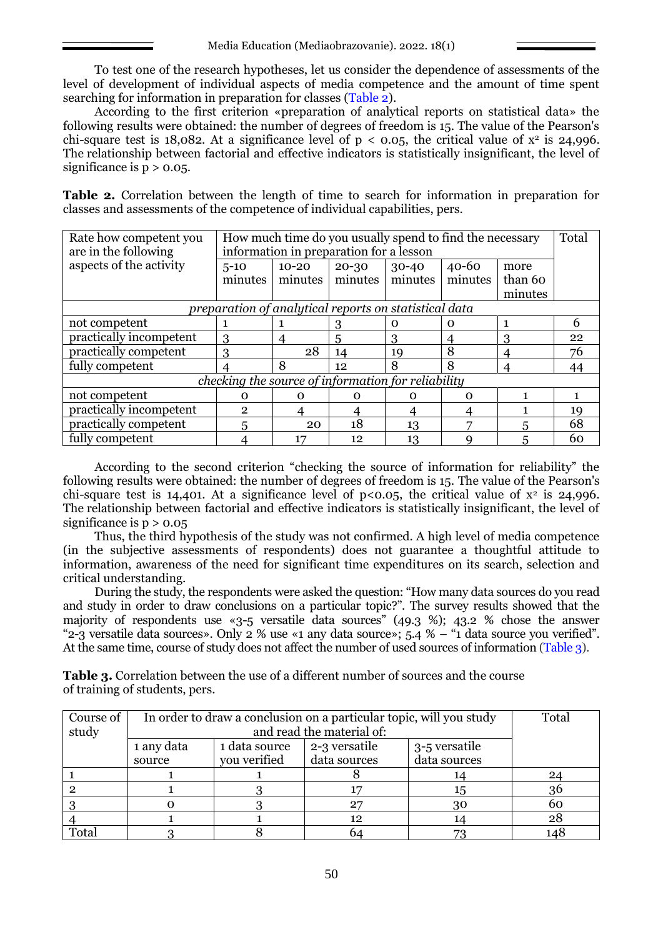To test one of the research hypotheses, let us consider the dependence of assessments of the level of development of individual aspects of media competence and the amount of time spent searching for information in preparation for classes (Table 2).

According to the first criterion «preparation of analytical reports on statistical data» the following results were obtained: the number of degrees of freedom is 15. The value of the Pearson's chi-square test is 18,082. At a significance level of  $p < 0.05$ , the critical value of  $x^2$  is 24,996. The relationship between factorial and effective indicators is statistically insignificant, the level of significance is  $p > 0.05$ .

**Table 2.** Correlation between the length of time to search for information in preparation for classes and assessments of the competence of individual capabilities, pers.

| Rate how competent you<br>are in the following        | How much time do you usually spend to find the necessary<br>information in preparation for a lesson |           |           |           |           | Total   |    |
|-------------------------------------------------------|-----------------------------------------------------------------------------------------------------|-----------|-----------|-----------|-----------|---------|----|
| aspects of the activity                               | $5 - 10$                                                                                            | $10 - 20$ | $20 - 30$ | $30 - 40$ | $40 - 60$ | more    |    |
|                                                       | minutes                                                                                             | minutes   | minutes   | minutes   | minutes   | than 60 |    |
|                                                       |                                                                                                     |           |           |           |           | minutes |    |
| preparation of analytical reports on statistical data |                                                                                                     |           |           |           |           |         |    |
| not competent                                         |                                                                                                     |           |           | 0         | $\Omega$  |         | 6  |
| practically incompetent                               | 3                                                                                                   | 4         | 5         | 3         | 4         | 3       | 22 |
| practically competent                                 | 3                                                                                                   | 28        | 14        | 19        | 8         | 4       | 76 |
| fully competent                                       |                                                                                                     | 8         | 12        | 8         | 8         |         | 44 |
| checking the source of information for reliability    |                                                                                                     |           |           |           |           |         |    |
| not competent                                         | Ω                                                                                                   | Ω         | $\Omega$  | ∩         | $\Omega$  |         |    |
| practically incompetent                               | 2                                                                                                   |           |           |           |           |         | 19 |
| practically competent                                 | 5                                                                                                   | 20        | 18        | 13        |           | 5       | 68 |
| fully competent                                       |                                                                                                     | 17        | 12        | 13        | Q         | 5       | 60 |

According to the second criterion "checking the source of information for reliability" the following results were obtained: the number of degrees of freedom is 15. The value of the Pearson's chi-square test is 14,401. At a significance level of  $p<0.05$ , the critical value of  $x^2$  is 24,996. The relationship between factorial and effective indicators is statistically insignificant, the level of significance is  $p > 0.05$ 

Thus, the third hypothesis of the study was not confirmed. A high level of media competence (in the subjective assessments of respondents) does not guarantee a thoughtful attitude to information, awareness of the need for significant time expenditures on its search, selection and critical understanding.

During the study, the respondents were asked the question: "How many data sources do you read and study in order to draw conclusions on a particular topic?". The survey results showed that the majority of respondents use «3-5 versatile data sources" (49.3 %); 43.2 % chose the answer "2-3 versatile data sources». Only 2 % use «1 any data source»; 5.4 % – "1 data source you verified". At the same time, course of study does not affect the number of used sources of information (Table 3).

**Table 3.** Correlation between the use of a different number of sources and the course of training of students, pers.

| Course of | In order to draw a conclusion on a particular topic, will you study |               |               |               | Total |
|-----------|---------------------------------------------------------------------|---------------|---------------|---------------|-------|
| study     | and read the material of:                                           |               |               |               |       |
|           | 1 any data                                                          | 1 data source | 2-3 versatile | 3-5 versatile |       |
|           | source                                                              | you verified  | data sources  | data sources  |       |
|           |                                                                     |               |               |               | 24    |
|           |                                                                     |               |               | 15            | 36    |
|           |                                                                     |               |               | 30            | 60    |
|           |                                                                     |               | 12            |               | 28    |
| Total     |                                                                     |               | 64            |               | 148   |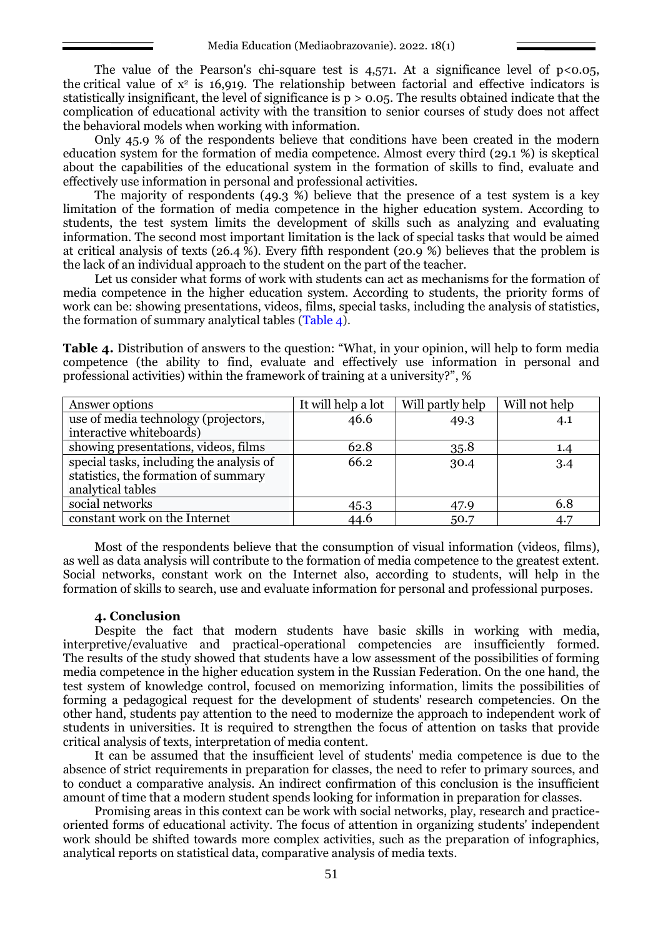The value of the Pearson's chi-square test is  $4,571$ . At a significance level of p<0.05, the critical value of  $x^2$  is 16,919. The relationship between factorial and effective indicators is statistically insignificant, the level of significance is  $p > 0.05$ . The results obtained indicate that the complication of educational activity with the transition to senior courses of study does not affect the behavioral models when working with information.

Only 45.9 % of the respondents believe that conditions have been created in the modern education system for the formation of media competence. Almost every third (29.1 %) is skeptical about the capabilities of the educational system in the formation of skills to find, evaluate and effectively use information in personal and professional activities.

The majority of respondents (49.3 %) believe that the presence of a test system is a key limitation of the formation of media competence in the higher education system. According to students, the test system limits the development of skills such as analyzing and evaluating information. The second most important limitation is the lack of special tasks that would be aimed at critical analysis of texts (26.4 %). Every fifth respondent (20.9 %) believes that the problem is the lack of an individual approach to the student on the part of the teacher.

Let us consider what forms of work with students can act as mechanisms for the formation of media competence in the higher education system. According to students, the priority forms of work can be: showing presentations, videos, films, special tasks, including the analysis of statistics, the formation of summary analytical tables (Table 4).

**Table 4.** Distribution of answers to the question: "What, in your opinion, will help to form media competence (the ability to find, evaluate and effectively use information in personal and professional activities) within the framework of training at a university?", %

| Answer options                           | It will help a lot | Will partly help | Will not help |
|------------------------------------------|--------------------|------------------|---------------|
| use of media technology (projectors,     | 46.6               | 49.3             | 4.1           |
| interactive whiteboards)                 |                    |                  |               |
| showing presentations, videos, films     | 62.8               | 35.8             | 1.4           |
| special tasks, including the analysis of | 66.2               | 30.4             | 3.4           |
| statistics, the formation of summary     |                    |                  |               |
| analytical tables                        |                    |                  |               |
| social networks                          | 45.3               | 47.9             | 6.8           |
| constant work on the Internet            | 44.6               | 50.7             | 4.7           |

Most of the respondents believe that the consumption of visual information (videos, films), as well as data analysis will contribute to the formation of media competence to the greatest extent. Social networks, constant work on the Internet also, according to students, will help in the formation of skills to search, use and evaluate information for personal and professional purposes.

#### **4. Conclusion**

Despite the fact that modern students have basic skills in working with media, interpretive/evaluative and practical-operational competencies are insufficiently formed. The results of the study showed that students have a low assessment of the possibilities of forming media competence in the higher education system in the Russian Federation. On the one hand, the test system of knowledge control, focused on memorizing information, limits the possibilities of forming a pedagogical request for the development of students' research competencies. On the other hand, students pay attention to the need to modernize the approach to independent work of students in universities. It is required to strengthen the focus of attention on tasks that provide critical analysis of texts, interpretation of media content.

It can be assumed that the insufficient level of students' media competence is due to the absence of strict requirements in preparation for classes, the need to refer to primary sources, and to conduct a comparative analysis. An indirect confirmation of this conclusion is the insufficient amount of time that a modern student spends looking for information in preparation for classes.

Promising areas in this context can be work with social networks, play, research and practiceoriented forms of educational activity. The focus of attention in organizing students' independent work should be shifted towards more complex activities, such as the preparation of infographics, analytical reports on statistical data, comparative analysis of media texts.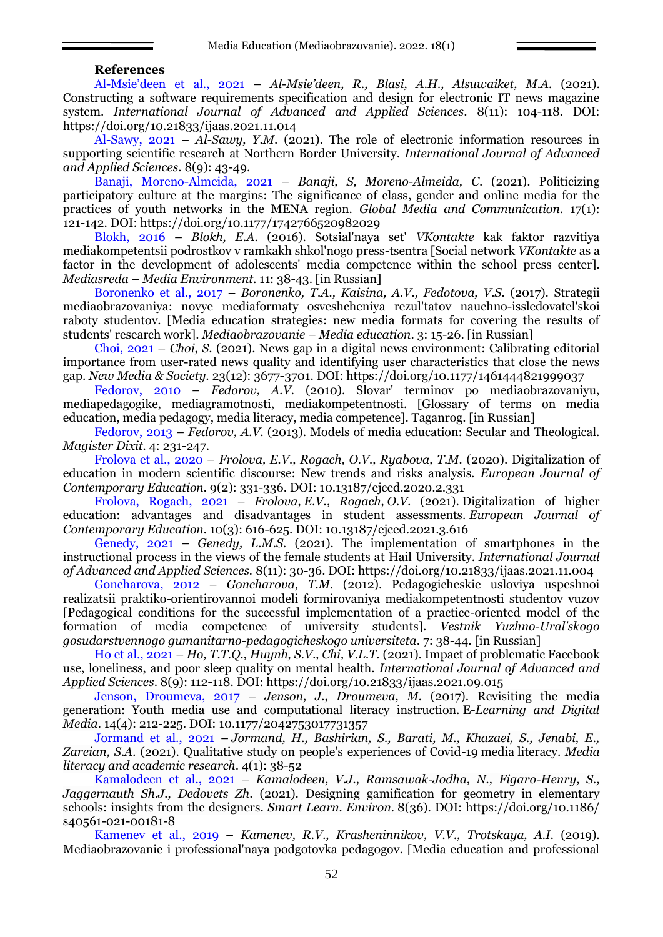#### **References**

<span id="page-6-1"></span>Al-[Msie'deen et al., 2021](#page-0-0) – *Al-Msie'deen, R., Blasi, A.H., Alsuwaiket, M.A.* (2021). Constructing a software requirements specification and design for electronic IT news magazine system. *International Journal of Advanced and Applied Sciences*. 8(11): 104-118. DOI: <https://doi.org/10.21833/ijaas.2021.11.014>

[Al-Sawy, 2021](#page-2-0) – *Al-Sawy, Y.M*. (2021). The role of electronic information resources in supporting scientific research at Northern Border University. *International Journal of Advanced and Applied Sciences*. 8(9): 43-49.

<span id="page-6-9"></span>[Banaji, Moreno-Almeida, 2021](#page-2-1) – *Banaji, S, Moreno-Almeida, C*. (2021). Politicizing participatory culture at the margins: The significance of class, gender and online media for the practices of youth networks in the MENA region. *Global Media and Communication*. 17(1): 121-142. DOI:<https://doi.org/10.1177/1742766520982029>

<span id="page-6-5"></span>[Blokh, 2016](#page-2-2) – *Blokh, E.A.* (2016). Sotsial'naya set' *VKontakte* kak faktor razvitiya mediakompetentsii podrostkov v ramkakh shkol'nogo press-tsentra [Social network *VKontakte* as a factor in the development of adolescents' media competence within the school press center]. *Mediasreda* – *Media Environment*. 11: 38-43. [in Russian]

<span id="page-6-10"></span>[Boronenko et al., 2017](#page-2-3) – *Boronenko, T.A., Kaisina, A.V., Fedotova, V.S.* (2017). Strategii mediaobrazovaniya: novye mediaformaty osveshcheniya rezul'tatov nauchno-issledovatel'skoi raboty studentov. [Media education strategies: new media formats for covering the results of students' research work]. *Mediaobrazovanie* – *Media education*. 3: 15-26. [in Russian]

<span id="page-6-7"></span>[Choi, 2021](#page-1-0) – *Choi, S*. (2021). News gap in a digital news environment: Calibrating editorial importance from user-rated news quality and identifying user characteristics that close the news gap. *New Media & Society*. 23(12): 3677-3701. DOI:<https://doi.org/10.1177/1461444821999037>

[Fedorov, 2010](#page-1-1) – *Fedorov, A.V.* (2010). Slovar' terminov po mediaobrazovaniyu, mediapedagogike, mediagramotnosti, mediakompetentnosti. [Glossary of terms on media education, media pedagogy, media literacy, media competence]. Taganrog. [in Russian]

<span id="page-6-6"></span>[Fedorov, 2013](#page-1-2) – *Fedorov, A.V.* (2013). Models of media education: Secular and Theological. *Magister Dixit.* 4: 231-247.

<span id="page-6-3"></span>[Frolova et al., 2020](#page-1-3) – *Frolova, E.V., Rogach, O.V., Ryabova, T.M.* (2020). Digitalization of education in modern scientific discourse: New trends and risks analysis. *European Journal of Contemporary Education.* 9(2): 331-336. DOI: 10.13187/ejced.2020.2.331

<span id="page-6-8"></span>[Frolova, Rogach, 2021](#page-2-4) – *Frolova, E.V., Rogach, O.V.* (2021). Digitalization of higher education: advantages and disadvantages in student assessments. *European Journal of Contemporary Education.* 10(3): 616-625. DOI: [10.13187/ejced.2021.3.616](http://dx.doi.org/10.13187/ejced.2021.3.616)

<span id="page-6-0"></span>[Genedy, 2021](#page-0-1) – *Genedy, L.M.S.* (2021). The implementation of smartphones in the instructional process in the views of the female students at Hail University. *International Journal of Advanced and Applied Sciences.* 8(11): 30-36. DOI:<https://doi.org/10.21833/ijaas.2021.11.004>

[Goncharova, 2012](#page-2-5) – *Goncharova, T.M.* (2012). Pedagogicheskie usloviya uspeshnoi realizatsii praktiko-orientirovannoi modeli formirovaniya mediakompetentnosti studentov vuzov [Pedagogical conditions for the successful implementation of a practice-oriented model of the formation of media competence of university students]. *Vestnik Yuzhno-Ural'skogo gosudarstvennogo gumanitarno-pedagogicheskogo universiteta*. 7: 38-44. [in Russian]

<span id="page-6-2"></span>[Ho et al., 2021](#page-0-2) – *Ho, T.T.Q., Huynh, S.V., Chi, V.L.T.* (2021). Impact of problematic Facebook use, loneliness, and poor sleep quality on mental health. *International Journal of Advanced and Applied Sciences*. 8(9): 112-118. DOI:<https://doi.org/10.21833/ijaas.2021.09.015>

[Jenson, Droumeva, 2017](#page-2-6) – *Jenson, J., Droumeva, M.* (2017). Revisiting the media generation: Youth media use and computational literacy instruction. E-*Learning and Digital Media.* 14(4): 212-225. DOI[: 10.1177/2042753017731357](https://doi.org/10.1177/2042753017731357)

[Jormand et al., 2021](#page-0-3) – *Jormand, H., Bashirian, S., Barati, M., Khazaei, S., Jenabi, E., Zareian, S.A.* (2021). Qualitative study on people's experiences of Covid-19 media literacy. *Media literacy and academic research*. 4(1): 38-52

<span id="page-6-4"></span>[Kamalodeen et al., 2021](#page-2-7) – *Kamalodeen, V.J., Ramsawak-Jodha, N., Figaro-Henry, S., Jaggernauth Sh.J., Dedovets Zh*. (2021). Designing gamification for geometry in elementary schools: insights from the designers. *Smart Learn. Environ.* 8(36). DOI: [https://doi.org/10.1186/](https://doi.org/10.1186/s40561-021-00181-8) [s40561-021-00181-8](https://doi.org/10.1186/s40561-021-00181-8)

[Kamenev et al., 2019](#page-1-4) – *Kamenev, R.V., Krasheninnikov, V.V., Trotskaya, A.I.* (2019). Mediaobrazovanie i professional'naya podgotovka pedagogov. [Media education and professional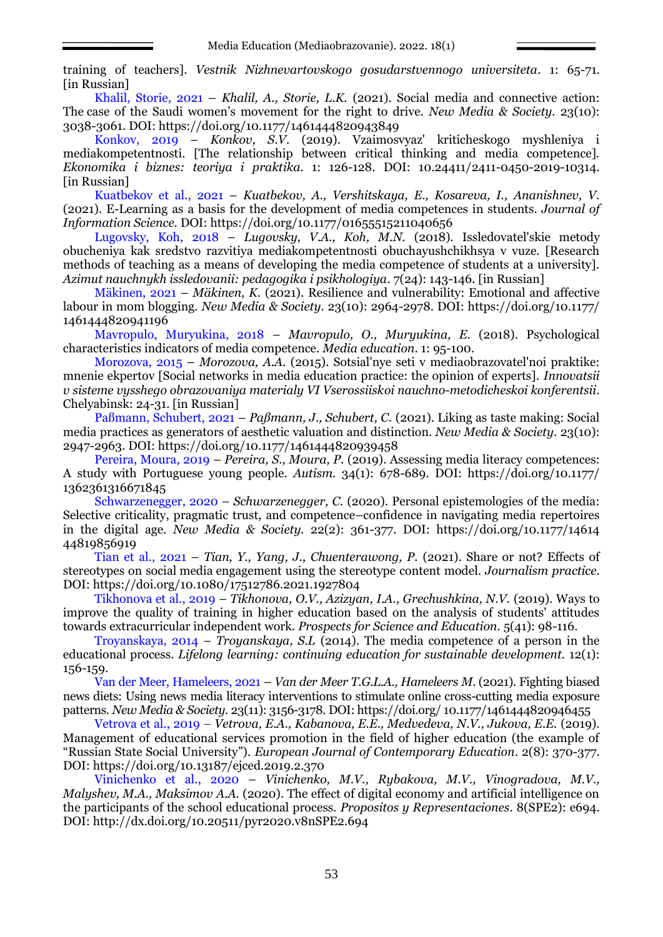training of teachers]. *Vestnik Nizhnevartovskogo gosudarstvennogo universiteta*. 1: 65-71. [in Russian]

<span id="page-7-0"></span>[Khalil, Storie, 2021](#page-2-8) – *Khalil, A., Storie, L.K.* (2021). Social media and connective action: The case of the Saudi women's movement for the right to drive. *New Media & Society.* 23(10): 3038-3061. DOI:<https://doi.org/10.1177/1461444820943849>

[Konkov, 2019](#page-1-5) – *Konkov, S.V*. (2019). Vzaimosvyaz' kriticheskogo myshleniya i mediakompetentnosti. [The relationship between critical thinking and media competence]. *Ekonomika i biznes: teoriya i praktika.* 1: 126-128. DOI: 10.24411/2411-0450-2019-10314. [in Russian]

<span id="page-7-5"></span>[Kuatbekov et al., 2021](#page-2-9) – *Kuatbekov, A., Vershitskaya, E., Kosareva, I., Ananishnev, V.*  (2021). E-Learning as a basis for the development of media competences in students. *Journal of Information Science. DOI:<https://doi.org/10.1177/01655515211040656>* 

<span id="page-7-6"></span>[Lugovsky, Koh, 2018](#page-2-10) – *Lugovsky, V.A., Koh, M.N.* (2018). Issledovatel'skie metody obucheniya kak sredstvo razvitiya mediakompetentnosti obuchayushchikhsya v vuze. [Research methods of teaching as a means of developing the media competence of students at a university]. *Azimut nauchnykh issledovanii: pedagogika i psikhologiya*. 7(24): 143-146. [in Russian]

<span id="page-7-12"></span>[Mäkinen, 2021](#page-2-11) – *Mäkinen, K.* (2021). Resilience and vulnerability: Emotional and affective labour in mom blogging. *New Media & Society*. 23(10): 2964-2978. DOI: [https://doi.org/10.1177/](https://doi.org/10.1177/1461444820941196) [1461444820941196](https://doi.org/10.1177/1461444820941196)

[Mavropulo, Muryukina, 2018](#page-2-12) – *Mavropulo, O., Muryukina, E.* (2018). Psychological characteristics indicators of media competence. *Media education*. 1: 95-100.

<span id="page-7-10"></span>[Morozova, 2015](#page-2-13) – *Morozova, A.A.* (2015). Sotsial'nye seti v mediaobrazovatel'noi praktike: mnenie ekpertov [Social networks in media education practice: the opinion of experts]. *Innovatsii v sisteme vysshego obrazovaniya materialy VI Vserossiiskoi nauchno-metodicheskoi konferentsii*. Chelyabinsk: 24-31. [in Russian]

<span id="page-7-11"></span>[Paßmann, Schubert, 2021](#page-2-14) – *Paßmann, J., Schubert, C.* (2021). Liking as taste making: Social media practices as generators of aesthetic valuation and distinction. *New Media & Society*. 23(10): 2947-2963. DOI:<https://doi.org/10.1177/1461444820939458>

<span id="page-7-8"></span>[Pereira, Moura, 2019](#page-1-6) – *Pereira, S., Moura, P.* (2019). Assessing media literacy competences: A study with Portuguese young people. *Autism*. 34(1): 678-689. DOI: [https://doi.org/10.1177/](https://doi.org/10.1177/1362361316671845) [1362361316671845](https://doi.org/10.1177/1362361316671845)

<span id="page-7-2"></span>[Schwarzenegger, 2020](#page-1-7) – *Schwarzenegger, C.* (2020). Personal epistemologies of the media: Selective criticality, pragmatic trust, and competence–confidence in navigating media repertoires in the digital age. *New Media & Society.* 22(2): 361-377. DOI: [https://doi.org/10.1177/14614](https://doi.org/10.1177/1461444819856919) [44819856919](https://doi.org/10.1177/1461444819856919)

<span id="page-7-4"></span>[Tian et al., 2021](#page-1-8) – *Tian, Y., Yang, J., Chuenterawong, P.* (2021). Share or not? Effects of stereotypes on social media engagement using the stereotype content model. *Journalism practice.*  DOI: <https://doi.org/10.1080/17512786.2021.1927804>

[Tikhonova et al., 2019](#page-2-15) – *Tikhonova, O.V., Azizyan, I.A., Grechushkina, N.V.* (2019). Ways to improve the quality of training in higher education based on the analysis of students' attitudes towards extracurricular independent work. *Prospects for Science and Education.* 5(41): 98-116.

<span id="page-7-1"></span>[Troyanskaya, 2014](#page-1-9) – *Troyanskaya, S.L* (2014). The media competence of a person in the educational process. *Lifelong learning: continuing education for sustainable development.* 12(1): 156-159.

<span id="page-7-3"></span>[Van der Meer, Hameleers, 2021](#page-1-10) – *Van der Meer T.G.L.A., Hameleers M*. (2021). Fighting biased news diets: Using news media literacy interventions to stimulate online cross-cutting media exposure patterns. *New Media & Society*. 23(11): 3156-3178. DOI: https://doi.org/ [10.1177/1461444820946455](https://doi.org/10.1177/1461444820946455)

<span id="page-7-7"></span>[Vetrova et al., 2019](#page-2-16) – *Vetrova, E.A., Kabanova, E.E., Medvedeva, N.V., Jukova, E.E.* (2019). Management of educational services promotion in the field of higher education (the example of "Russian State Social University"). *European Journal of Contemporary Education*. 2(8): 370-377. DOI:<https://doi.org/10.13187/ejced.2019.2.370>

<span id="page-7-9"></span>[Vinichenko et al., 2020](#page-2-17) – *Vinichenko, M.V., Rybakova, M.V., Vinogradova, M.V., Malyshev, M.A., Maksimov A.A.* (2020). The effect of digital economy and artificial intelligence on the participants of the school educational process. *Propositos y Representaciones*. 8(SPE2): e694. DOI:<http://dx.doi.org/10.20511/pyr2020.v8nSPE2.694>